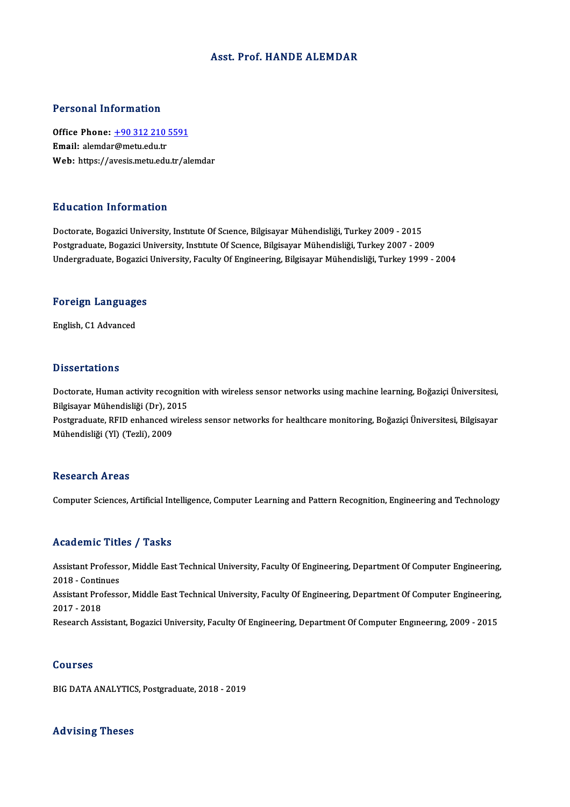#### Asst. Prof.HANDE ALEMDAR

#### Personal Information

Personal Information<br>Office Phone: <u>+90 312 210 5591</u><br>Email: alemdar@metu.edu.tr Procedulation<br>Office Phone: <u>+90 312 210</u><br>Email: alemda[r@metu.edu.tr](tel:+90 312 210 5591) Email: alemdar@metu.edu.tr<br>Web: https://avesis.metu.edu.tr/alemdar

#### Education Information

Doctorate, Bogazici University, Institute Of Science, Bilgisayar Mühendisliği, Turkey 2009 - 2015 Postgraduate, Bogazici University, Institute Of Science, Bilgisayar Mühendisliği, Turkey 2007 - 2009 Undergraduate, Bogazici University, Faculty Of Engineering, Bilgisayar Mühendisliği, Turkey 1999 - 2004

## <sub>ondergraduate, bogazici<br>Foreign Languages</sub> F<mark>oreign Languag</mark>e<br>English, C1 Advanced

English, C1 Advanced<br>Dissertations

Dissertations<br>Doctorate, Human activity recognition with wireless sensor networks using machine learning, Boğaziçi Üniversitesi,<br>Bilgisayar Mühandisliği (Dr), 2015 Bilgisayar<br>Doctorate, Human activity recogniti<br>Bilgisayar Mühendisliği (Dr), 2015<br>Bostanaduate, BEID opbanced utirel Doctorate, Human activity recognition with wireless sensor networks using machine learning, Boğaziçi Üniversitesi,<br>Bilgisayar Mühendisliği (Dr), 2015<br>Postgraduate, RFID enhanced wireless sensor networks for healthcare moni

Bilgisayar Mühendisliği (Dr), 2015<br>Postgraduate, RFID enhanced wireless sensor networks for healthcare monitoring, Boğaziçi Üniversitesi, Bilgisayar<br>Mühendisliği (Yl) (Tezli), 2009

#### **Research Areas**

Computer Sciences, Artificial Intelligence, Computer Learning and Pattern Recognition, Engineering and Technology

#### Academic Titles / Tasks

Academic Titles / Tasks<br>Assistant Professor, Middle East Technical University, Faculty Of Engineering, Department Of Computer Engineering,<br>2018 - Continues Assistant Professo<br>2018 - Continues<br>Assistant Professo Assistant Professor, Middle East Technical University, Faculty Of Engineering, Department Of Computer Engineering,<br>2018 - Continues<br>Assistant Professor, Middle East Technical University, Faculty Of Engineering, Department 2018 - Continues<br>Assistant Professor, Middle East Technical University, Faculty Of Engineering, Department Of Computer Engineering,<br>2017 - 2018 Research Assistant, Bogazici University, Faculty Of Engineering, Department Of Computer Engineering, 2009 - 2015

#### Courses

BIG DATA ANALYTICS, Postgraduate, 2018 - 2019

#### Advising Theses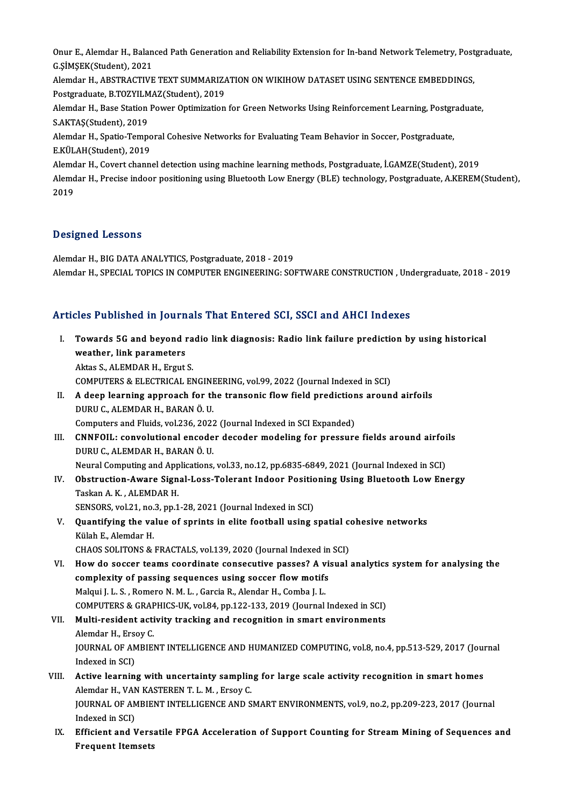Onur E., Alemdar H., Balanced Path Generation and Reliability Extension for In-band Network Telemetry, Postgraduate,<br>G SiMSEK(Student), 2021 Onur E., Alemdar H., Balan<br>G.ŞİMŞEK(Student), 2021<br>Alemdar H., ABSTRACTIVE Onur E., Alemdar H., Balanced Path Generation and Reliability Extension for In-band Network Telemetry, Post<br>G.ŞİMŞEK(Student), 2021<br>Alemdar H., ABSTRACTIVE TEXT SUMMARIZATION ON WIKIHOW DATASET USING SENTENCE EMBEDDINGS,<br>R

G.ŞİMŞEK(Student), 2021<br>Alemdar H., ABSTRACTIVE TEXT SUMMARIZ*I*<br>Postgraduate, B.TOZYILMAZ(Student), 2019<br>Alemdar H., Base Station Bawer Optimization Postgraduate, B.TOZYILMAZ(Student), 2019

Alemdar H., Base Station Power Optimization for Green Networks Using Reinforcement Learning, Postgraduate,<br>S.AKTAS(Student), 2019 Alemdar H., Base Station Power Optimization for Green Networks Using Reinforcement Learning, Postgr<br>S.AKTAŞ(Student), 2019<br>Alemdar H., Spatio-Temporal Cohesive Networks for Evaluating Team Behavior in Soccer, Postgraduate,

S.AKTAŞ(Student), 2019<br>Alemdar H., Spatio-Tempo<br>E.KÜLAH(Student), 2019<br>Alemdar H. Covert shann E.KÜLAH(Student), 2019<br>Alemdar H., Covert channel detection using machine learning methods, Postgraduate, İ.GAMZE(Student), 2019

E.KÜLAH(Student), 2019<br>Alemdar H., Covert channel detection using machine learning methods, Postgraduate, İ.GAMZE(Student), 2019<br>Alemdar H., Precise indoor positioning using Bluetooth Low Energy (BLE) technology, Postgradu Alemd<br>Alemd<br>2019

# Designed Lessons

Alemdar H., BIG DATA ANALYTICS, Postgraduate, 2018 - 2019 Alemdar H., SPECIAL TOPICS IN COMPUTER ENGINEERING: SOFTWARE CONSTRUCTION, Undergraduate, 2018 - 2019

### Articles Published in Journals That Entered SCI, SSCI and AHCI Indexes

rticles Published in Journals That Entered SCI, SSCI and AHCI Indexes<br>I. Towards 5G and beyond radio link diagnosis: Radio link failure prediction by using historical<br>westher, link parameters Towards 5G and beyond is<br>weather, link parameters<br>Altas S. ALEMDAR H. Ergyt Towards 5G and beyond ra<br>weather, link parameters<br>Aktas S., ALEMDAR H., Ergut S.<br>COMPUTERS & ELECTRICAL EN weather, link parameters<br>Aktas S., ALEMDAR H., Ergut S.<br>COMPUTERS & ELECTRICAL ENGINEERING, vol.99, 2022 (Journal Indexed in SCI)<br>A deep learning approach for the transanis flow field prodistions aroun Aktas S., ALEMDAR H., Ergut S.<br>COMPUTERS & ELECTRICAL ENGINEERING, vol.99, 2022 (Journal Indexed in SCI)<br>II. A deep learning approach for the transonic flow field predictions around airfoils<br>DURU C., ALEMDAR H., BARAN Ö. U COMPUTERS & ELECTRICAL ENGINI<br>A deep learning approach for the<br>DURU C., ALEMDAR H., BARANÖ.U.<br>Computers and Eluids, wol 226, 2023 A deep learning approach for the transonic flow field prediction<br>DURU C., ALEMDAR H., BARAN Ö. U.<br>Computers and Fluids, vol.236, 2022 (Journal Indexed in SCI Expanded)<br>CNNEOU : convolutional apsoder deseder modeling for pr III. CNNFOIL: convolutional encoder decoder modeling for pressure fields around airfoils<br>DURU C., ALEMDAR H., BARAN Ö. U. Computers and Fluids, vol.236, 2022<br>CNNFOIL: convolutional encode<br>DURU C., ALEMDAR H., BARANÖ.U.<br>Naural Computing and Applications CNNFOIL: convolutional encoder decoder modeling for pressure fields around airfoi<br>DURU C., ALEMDAR H., BARAN Ö. U.<br>Neural Computing and Applications, vol.33, no.12, pp.6835-6849, 2021 (Journal Indexed in SCI)<br>Obstruction, IV. Obstruction-Aware Signal-Loss-Tolerant Indoor Positioning Using Bluetooth LowEnergy Neural Computing and App<br>Obstruction-Aware Sign<br>Taskan A. K. , ALEMDAR H.<br>SENSOPS 1121 no 3 nn 1 Obstruction-Aware Signal-Loss-Tolerant Indoor Positic<br>Taskan A. K. , ALEMDAR H.<br>SENSORS, vol.21, no.3, pp.1-28, 2021 (Journal Indexed in SCI)<br>Quantifying the volve of curints in elite football using a V. Quantifying the value of sprints in elite football using spatial cohesive networks Külah E. Alemdar H. SENSORS, vol.21, no.<br>Quantifying the va<br>Külah E., Alemdar H.<br>CHAOS SOLITONS & Quantifying the value of sprints in elite football using spatial contains the Solid Chaos.<br>CHAOS SOLITONS & FRACTALS, vol.139, 2020 (Journal Indexed in SCI)<br>How do seccer teams seordingte consecutive passes? A viewal VI. How do soccer teams coordinate consecutive passes? A visual analytics system for analysing the complexity of passing sequences using soccer flow motifs CHAOS SOLITONS & FRACTALS, vol.139, 2020 (Journal Indexed in<br>How do soccer teams coordinate consecutive passes? A vi<br>complexity of passing sequences using soccer flow motifs<br>Malayi LLS, Bomoro N.M. L. Cargia B. Alandar H. Malqui J. L. S., Romero N. M. L., Garcia R., Alendar H., Comba J. L. complexity of passing sequences using soccer flow motifs<br>Malqui J. L. S. , Romero N. M. L. , Garcia R., Alendar H., Comba J. L.<br>COMPUTERS & GRAPHICS-UK, vol.84, pp.122-133, 2019 (Journal Indexed in SCI)<br>Multi regident esti VII. Multi-resident activity tracking and recognition in smart environments COMPUTERS & GRAF<br>Multi-resident acti<br>Alemdar H., Ersoy C.<br>JOUPMAL OF AMPIEL JOURNAL OF AMBIENT INTELLIGENCE AND HUMANIZED COMPUTING, vol.8, no.4, pp.513-529, 2017 (Journal Indexed in SCI) Alemdar H., Ersoy C. JOURNAL OF AMBIENT INTELLIGENCE AND HUMANIZED COMPUTING, vol.8, no.4, pp.513-529, 2017 (Journal)<br>Indexed in SCI)<br>VIII. Active learning with uncertainty sampling for large scale activity recognition in smart homes Indexed in SCI)<br>Active learning with uncertainty samplin<br>Alemdar H., VAN KASTERENT. L. M. , Ersoy C.<br>JOUPMAL OF AMPIENT INTELLICENCE AND S Active learning with uncertainty sampling for large scale activity recognition in smart homes<br>Alemdar H., VAN KASTEREN T. L. M. , Ersoy C.<br>JOURNAL OF AMBIENT INTELLIGENCE AND SMART ENVIRONMENTS, vol.9, no.2, pp.209-223, 20 Alemdar H., VAN KASTEREN T. L. M. , Ersoy C.<br>JOURNAL OF AMBIENT INTELLIGENCE AND SMART ENVIRONMENTS, vol.9, no.2, pp.209-223, 2017 (Journal<br>Indexed in SCI) JOURNAL OF AMBIENT INTELLIGENCE AND SMART ENVIRONMENTS, vol.9, no.2, pp.209-223, 2017 (Journal Indexed in SCI)<br>IX. Efficient and Versatile FPGA Acceleration of Support Counting for Stream Mining of Sequences and<br>Frequent I Indexed in SCI)<br>Efficient and Vers<br>Frequent Itemsets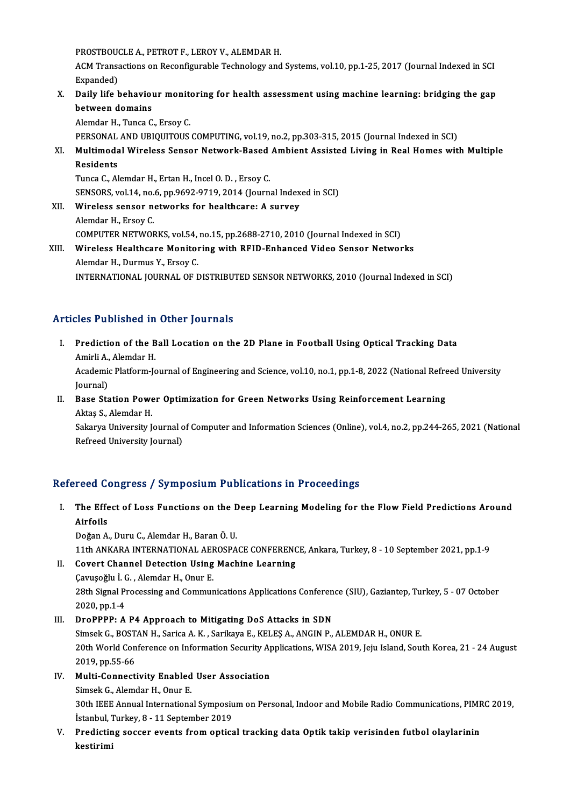PROSTBOUCLE A., PETROT F., LEROY V., ALEMDAR H.<br>ACM Transastians on Bosonfigurable Technology and

ACM Transactions on Reconfigurable Technology and Systems, vol.10, pp.1-25, 2017 (Journal Indexed in SCI<br>Expanded) PROSTBOUG<br>ACM Transa<br>Expanded)<br>Daily life b ACM Transactions on Reconfigurable Technology and Systems, vol.10, pp.1-25, 2017 (Journal Indexed in SCI<br>Expanded)<br>X. Daily life behaviour monitoring for health assessment using machine learning: bridging the gap<br>between d

Expanded)<br>Daily life behavior<br>between domains<br>Alamdar H. Tunca C **Daily life behaviour monite<br>between domains<br>Alemdar H., Tunca C., Ersoy C.<br>PERSONAL AND URIQUITOUS** between domains<br>Alemdar H., Tunca C., Ersoy C.<br>PERSONAL AND UBIQUITOUS COMPUTING, vol.19, no.2, pp.303-315, 2015 (Journal Indexed in SCI)<br>Multimodal Wirelass Sansor Network Based Ambiant Assisted Living in Boal Homes wit

Alemdar H., Tunca C., Ersoy C.<br>PERSONAL AND UBIQUITOUS COMPUTING, vol.19, no.2, pp.303-315, 2015 (Journal Indexed in SCI)<br>XI. Multimodal Wireless Sensor Network-Based Ambient Assisted Living in Real Homes with Multiple PERSONAL<br>Multimoda<br>Residents<br>Tunce C - Al Multimodal Wireless Sensor Network-Based<br>Residents<br>Tunca C., Alemdar H., Ertan H., Incel O.D. , Ersoy C.<br>SENSOPS vol 14, no 6, nn 9692, 9719, 2014 (Journ Residents<br>Tunca C., Alemdar H., Ertan H., Incel O. D. , Ersoy C.<br>SENSORS, vol.14, no.6, pp.9692-9719, 2014 (Journal Indexed in SCI)<br>Wineless senser netwerks for bealthsere: A survey

Tunca C., Alemdar H., Ertan H., Incel O. D. , Ersoy C.<br>SENSORS, vol.14, no.6, pp.9692-9719, 2014 (Journal Index<br>XII. Wireless sensor networks for healthcare: A survey<br>Alemdar H., Ersoy C. SENSORS, vol.14, no.<br>Wireless sensor no<br>Alemdar H., Ersoy C.<br>COMBUTED NETWOL Wireless sensor networks for healthcare: A survey<br>Alemdar H., Ersoy C.<br>COMPUTER NETWORKS, vol.54, no.15, pp.2688-2710, 2010 (Journal Indexed in SCI)<br>Wineless Healthcare Monitoring with REID Enhanced Video Sensor Networ

## XIII. Wireless Healthcare Monitoring with RFID-Enhanced Video Sensor Networks<br>Alemdar H., Durmus Y., Ersoy C. COMPUTER NETWORKS, vol.54,<br>Wireless Healthcare Monitor<br>Alemdar H., Durmus Y., Ersoy C.<br>INTERNATIONAL JOURNAL OF L INTERNATIONAL JOURNAL OF DISTRIBUTED SENSOR NETWORKS, 2010 (Journal Indexed in SCI)

### Articles Published in Other Journals

- rticles Published in Other Journals<br>I. Prediction of the Ball Location on the 2D Plane in Football Using Optical Tracking Data Prediction of the B<br>Amirli A., Alemdar H.<br>Academic Platform Is Prediction of the Ball Location on the 2D Plane in Football Using Optical Tracking Data<br>Amirli A., Alemdar H.<br>Academic Platform-Journal of Engineering and Science, vol.10, no.1, pp.1-8, 2022 (National Refreed University<br>Jo Amirli A.,<br>Academi<br>Journal)<br>Pase Sts Academic Platform-Journal of Engineering and Science, vol.10, no.1, pp.1-8, 2022 (National Refre<br>Journal)<br>II. Base Station Power Optimization for Green Networks Using Reinforcement Learning<br>Altres Schlander H
- Journal)<br>II. Base Station Power Optimization for Green Networks Using Reinforcement Learning<br>Aktaş S., Alemdar H.

Sakarya University Journal of Computer and Information Sciences (Online), vol.4, no.2, pp.244-265, 2021 (National Refreed University Journal)

### Refereed Congress / Symposium Publications in Proceedings

efereed Congress / Symposium Publications in Proceedings<br>I. The Effect of Loss Functions on the Deep Learning Modeling for the Flow Field Predictions Around<br>Airfeils The Effe<br>The Effe<br>Airfoils The Effect of Loss Functions on the <mark>E</mark><br>Airfoils<br>Doğan A., Duru C., Alemdar H., Baran Ö. U.<br>11th ANKARA INTERNATIONAL AEROSRA

Airfoils<br>Doğan A., Duru C., Alemdar H., Baran Ö. U.<br>11th ANKARA INTERNATIONAL AEROSPACE CONFERENCE, Ankara, Turkey, 8 - 10 September 2021, pp.1-9<br>Covert Channel Detestion Heing Mashine Learning. Doğan A., Duru C., Alemdar H., Baran Ö. U.<br>11th ANKARA INTERNATIONAL AEROSPACE CONFERENC<br>II. Covert Channel Detection Using Machine Learning<br>Canusoğlu İ.C. Alemdar H. Opur E. 11th ANKARA INTERNATIONAL AEF<br>Covert Channel Detection Using<br>Çavuşoğlu İ. G., Alemdar H., Onur E.<br>29th Signal Processing and Commun

Covert Channel Detection Using Machine Learning<br>Çavuşoğlu İ. G. , Alemdar H., Onur E.<br>28th Signal Processing and Communications Applications Conference (SIU), Gaziantep, Turkey, 5 - 07 October<br>2020.nn 1.4 Çavuşoğlu İ. (<br>28th Signal Pi<br>2020, pp.1-4<br>DroPPPP. A 28th Signal Processing and Communications Applications Conferen<br>2020, pp.1-4<br>III. DroPPPP: A P4 Approach to Mitigating DoS Attacks in SDN<br>Simesk C. BOSTAN H. Sorice A K. Sorikove E. KELES A. ANGIN B

2020, pp.1-4<br>DroPPPP: A P4 Approach to Mitigating DoS Attacks in SDN<br>Simsek G., BOSTAN H., Sarica A.K. , Sarikaya E., KELEŞ A., ANGIN P., ALEMDAR H., ONUR E.<br>20th World Conference on Information Soqurity Applications WISA III. DroPPPP: A P4 Approach to Mitigating DoS Attacks in SDN<br>Simsek G., BOSTAN H., Sarica A. K. , Sarikaya E., KELEŞ A., ANGIN P., ALEMDAR H., ONUR E.<br>20th World Conference on Information Security Applications, WISA 2019, Simsek G., BOST<br>20th World Con<br>2019, pp.55-66<br>Multi Connecti 20th World Conference on Information Security Ap<br>2019, pp.55-66<br>IV. Multi-Connectivity Enabled User Association<br>Simesk C. Alemdan H. Opun E. 2019, pp.55-66<br>Multi-Connectivity Enabled<br>Simsek G., Alemdar H., Onur E.<br>20th IEEE Annual Internations

Multi-Connectivity Enabled User Association<br>Simsek G., Alemdar H., Onur E.<br>30th IEEE Annual International Symposium on Personal, Indoor and Mobile Radio Communications, PIMRC 2019,<br>Istanbul Turkey, 8, .11 Sentember 2019. Simsek G., Alemdar H., Onur E.<br>30th IEEE Annual International Symposiu<br>İstanbul, Turkey, 8 - 11 September 2019<br>Predisting sesser events from entiss 30th IEEE Annual International Symposium on Personal, Indoor and Mobile Radio Communications, PIMF<br>Istanbul, Turkey, 8 - 11 September 2019<br>V. Predicting soccer events from optical tracking data Optik takip verisinden futbo

İstanbul, I<br><mark>Predictin</mark><br>kestirimi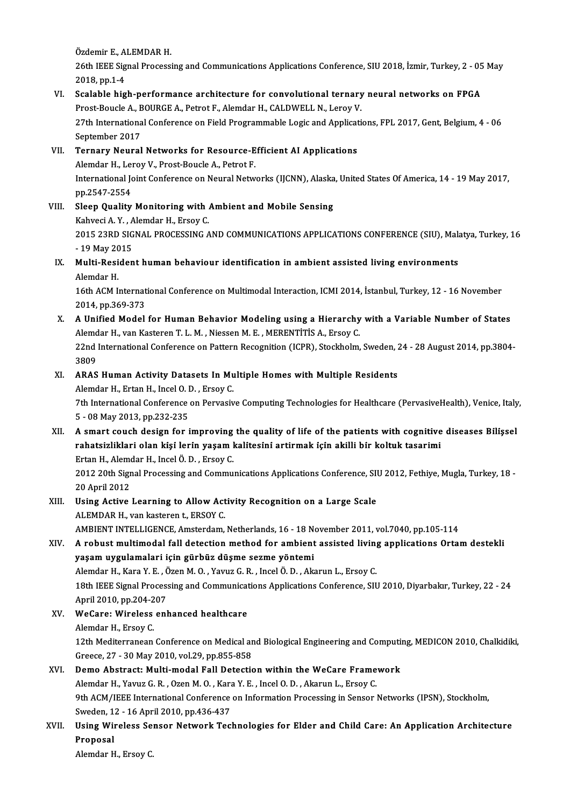Özdemir E., ALEMDAR H.<br>26th JEEE Signal Processi

26th IEEE Signal Processing and Communications Applications Conference, SIU 2018, İzmir, Turkey, 2 - 05 May<br>2018, pp.1-4 Özdemir E., A<br>26th IEEE Sig<br>2018, pp.1-4<br>Scalabla big 26th IEEE Signal Processing and Communications Applications Conference, SIU 2018, İzmir, Turkey, 2 - 05<br>2018, pp.1-4<br>VI. Scalable high-performance architecture for convolutional ternary neural networks on FPGA<br>Prest Boysle

## 2018, pp.1-4<br>Scalable high-performance architecture for convolutional ternary<br>Prost-Boucle A., BOURGE A., Petrot F., Alemdar H., CALDWELL N., Leroy V.<br>27th International Conference on Field Programmable Legis and Annligati Prost-Boucle A., BOURGE A., Petrot F., Alemdar H., CALDWELL N., Leroy V.

27th International Conference on Field Programmable Logic and Applications, FPL 2017, Gent, Belgium, 4 - 06<br>September 2017 27th International Conference on Field Programmable Logic and Applicat<br>September 2017<br>VII. Ternary Neural Networks for Resource-Efficient AI Applications<br>Alamdar H. Japay V. Brest Baucle A. Betrat E

## September 2017<br>Ternary Neural Networks for Resource-E<br>Alemdar H., Leroy V., Prost-Boucle A., Petrot F.<br>International Joint Conference on Neural Netw Ternary Neural Networks for Resource-Efficient AI Applications<br>Alemdar H., Leroy V., Prost-Boucle A., Petrot F.<br>International Joint Conference on Neural Networks (IJCNN), Alaska, United States Of America, 14 - 19 May 2017, Alemdar H., Lei<br>International Jo<br>pp.2547-2554<br>Sleep Quelity International Joint Conference on Neural Networks (IJCNN), Alaska<br>pp.2547-2554<br>VIII. Sleep Quality Monitoring with Ambient and Mobile Sensing<br>Kabyosi A. Y. Alemdar H. Ersoy C.

## pp.2547-2554<br>Sleep Quality Monitoring with ,<br>Kahveci A.Y. , Alemdar H., Ersoy C.<br>2015 22PD SICNAL PROCESSING A Sleep Quality Monitoring with Ambient and Mobile Sensing<br>Kahveci A. Y. , Alemdar H., Ersoy C.<br>2015 23RD SIGNAL PROCESSING AND COMMUNICATIONS APPLICATIONS CONFERENCE (SIU), Malatya, Turkey, 16<br>19 May 2015 Kahveci A. Y. , A<br>2015 23RD SIG<br>- 19 May 2015<br>Multi Besiden

## 2015 23RD SIGNAL PROCESSING AND COMMUNICATIONS APPLICATIONS CONFERENCE (SIU), Mak<br>- 19 May 2015<br>IX. Multi-Resident human behaviour identification in ambient assisted living environments<br>Alemder H - 19 May 2015<br>IX. Multi-Resident human behaviour identification in ambient assisted living environments<br>Alemdar H. Multi-Resident human behaviour identification in ambient assisted living environments<br>Alemdar H.<br>16th ACM International Conference on Multimodal Interaction, ICMI 2014, İstanbul, Turkey, 12 - 16 November<br>2014, np.260.272

Alemdar H.<br>16th ACM Internat<br>2014, pp.369-373<br>A Unified Model 16th ACM International Conference on Multimodal Interaction, ICMI 2014, Istanbul, Turkey, 12 - 16 November<br>2014, pp.369-373<br>X. A Unified Model for Human Behavior Modeling using a Hierarchy with a Variable Number of States<br>

## 2014, pp.369-373<br>A Unified Model for Human Behavior Modeling using a Hierarchy<br>Alemdar H., van Kasteren T. L. M. , Niessen M. E. , MERENTİTİS A., Ersoy C.<br>22nd International Conference en Pattern Peccemition (JCPP), Steckh A Unified Model for Human Behavior Modeling using a Hierarchy with a Variable Number of States<br>Alemdar H., van Kasteren T. L. M. , Niessen M. E. , MERENTITIS A., Ersoy C.<br>22nd International Conference on Pattern Recognitio Alemdar H., van Kasteren T. L. M. , Niessen M. E. , MERENTİTİS A., Ersoy C.<br>22nd International Conference on Pattern Recognition (ICPR), Stockholm, Sweden, 24 - 28 August 2014, pp.3804-<br>3809

## 22nd International Conference on Pattern Recognition (ICPR), Stockholm, Sweden, 2<br>3809<br>XI. ARAS Human Activity Datasets In Multiple Homes with Multiple Residents<br>Alemdar H. Extan H. Incel O. D. Excev C. 3809<br>**ARAS Human Activity Datasets In Mu**<br>Alemdar H., Ertan H., Incel O. D. , Ersoy C.<br><sup>7th</sup> International Conference on Berusciu

ARAS Human Activity Datasets In Multiple Homes with Multiple Residents<br>Alemdar H., Ertan H., Incel O. D. , Ersoy C.<br>7th International Conference on Pervasive Computing Technologies for Healthcare (PervasiveHealth), Venice, Alemdar H., Ertan H., Incel O. I<br>7th International Conference<br>5 - 08 May 2013, pp.232-235<br>A smart souch design for i

## XI . A smart couch design for improving the quality of life of the patients with cognitive diseases Bi̇li̇şsel 5 - 08 May 2013, pp.232-235<br>A smart couch design for improving the quality of life of the patients with cognitive<br>rahatsizliklari olan kişi lerin yaşam kalitesini artirmak için akilli bir koltuk tasarimi<br>Frtan H. Alemdar H A smart couch design for improving<br>rahatsizliklari olan kişi lerin yaşam l<br>Ertan H., Alemdar H., Incel Ö. D. , Ersoy C.<br>2012 20th Signal Processing and Commu Ertan H., Alemdar H., Incel Ö. D., Ersoy C.

2012 20th Signal Processing and Communications Applications Conference, SIU 2012, Fethiye, Mugla, Turkey, 18 -<br>20 April 2012 2012 20th Signal Processing and Communications Applications Conference, SI<br>20 April 2012<br>XIII. Using Active Learning to Allow Activity Recognition on a Large Scale<br>ALEMPAR H, van kategor + ERSOV C

## 20 April 2012<br>Using Active Learning to Allow Act<br>ALEMDAR H., van kasteren t., ERSOY C.<br>AMBIENT INTELLICENCE Amsterdam Using Active Learning to Allow Activity Recognition on a Large Scale<br>ALEMDAR H., van kasteren t., ERSOY C.<br>AMBIENT INTELLIGENCE, Amsterdam, Netherlands, 16 - 18 November 2011, vol.7040, pp.105-114<br>A rebust multimedal foll

## ALEMDAR H., van kasteren t., ERSOY C.<br>AMBIENT INTELLIGENCE, Amsterdam, Netherlands, 16 - 18 November 2011, vol.7040, pp.105-114<br>XIV. A robust multimodal fall detection method for ambient assisted living applications Or AMBIENT INTELLIGENCE, Amsterdam, Netherlands, 16 - 18 N<br>A robust multimodal fall detection method for ambient<br>yaşam uygulamalari için gürbüz düşme sezme yöntemi<br>Alamdar H. Kara V. E., Özen M. O., Yayuz C. B., İngel Ö. D., A robust multimodal fall detection method for ambient assisted livin<sub>i</sub><br>yaşam uygulamalari için gürbüz düşme sezme yöntemi<br>Alemdar H., Kara Y. E. , Özen M. O. , Yavuz G. R. , Incel Ö. D. , Akarun L., Ersoy C.<br>19th IEEE Sig

18th IEEE Signal Processing and Communications Applications Conference, SIU 2010, Diyarbakır, Turkey, 22 - 24<br>April 2010, pp.204-207 Alemdar H., Kara Y. E. , Č<br>18th IEEE Signal Proces:<br>April 2010, pp.204-207<br>WeCare: Wireless and 18th IEEE Signal Processing and Communicat<br>April 2010, pp.204-207<br>XV. WeCare: Wireless enhanced healthcare<br>Alomdar H. Ersou C.

## April 2010, pp.204-2<br>WeCare: Wireless<br>Alemdar H., Ersoy C.<br>12th Mediterranean Alemdar H., Ersoy C.<br>12th Mediterranean Conference on Medical and Biological Engineering and Computing, MEDICON 2010, Chalkidiki, Greece,27 -30May2010,vol.29,pp.855-858

### XVI. Demo Abstract: Multi-modal Fall Detection within the WeCare Framework

Greece, 27 - 30 May 2010, vol.29, pp.855-858<br>Demo Abstract: Multi-modal Fall Detection within the WeCare Frame<br>Alemdar H., Yavuz G. R. , Ozen M. O. , Kara Y. E. , Incel O. D. , Akarun L., Ersoy C.<br>9th ACM/IEEE Internationa Demo Abstract: Multi-modal Fall Detection within the WeCare Framework<br>Alemdar H., Yavuz G. R. , Ozen M. O. , Kara Y. E. , Incel O. D. , Akarun L., Ersoy C.<br>9th ACM/IEEE International Conference on Information Processing in Alemdar H., Yavuz G. R. , Ozen M. O. , Kara<br>9th ACM/IEEE International Conference<br>Sweden, 12 - 16 April 2010, pp.436-437<br>Heing Wineless Sonson Naturenk Tesl

## 9th ACM/IEEE International Conference on Information Processing in Sensor Networks (IPSN), Stockholm,<br>Sweden, 12 - 16 April 2010, pp.436-437<br>XVII. Using Wireless Sensor Network Technologies for Elder and Child Care: An App Sweden, 12 - 16 April 2010, pp.436-437<br>Using Wireless Sensor Network Technologies for Elder and Child Care: An Application Architecture<br>Proposal

Alemdar H., Ersoy C.